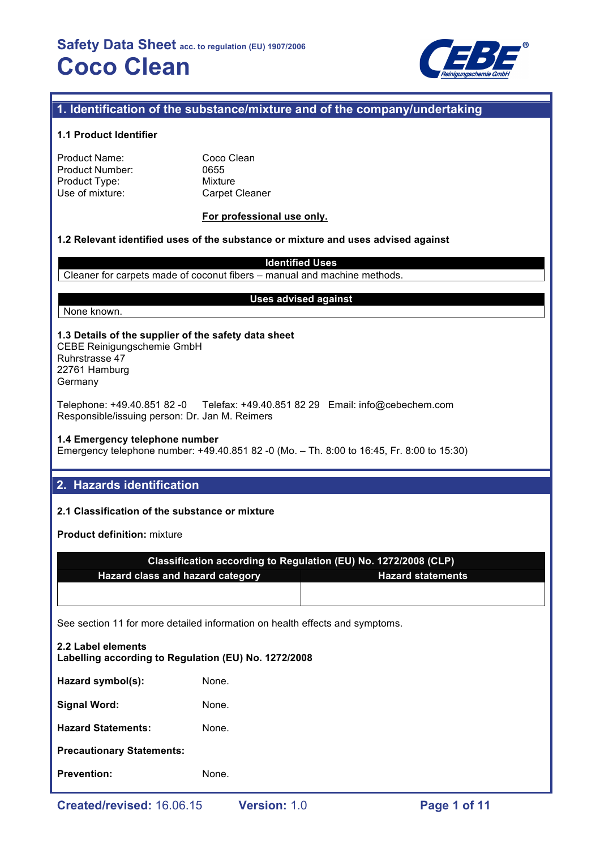

# **1. Identification of the substance/mixture and of the company/undertaking**

## **1.1 Product Identifier**

| Product Name:   |  |
|-----------------|--|
| Product Number: |  |
| Product Type:   |  |
| Use of mixture: |  |

Coco Clean 0655 **Mixture** Carpet Cleaner

## **For professional use only.**

## **1.2 Relevant identified uses of the substance or mixture and uses advised against**

**Identified Uses** Cleaner for carpets made of coconut fibers – manual and machine methods.

#### None known.

## **Uses advised against**

**1.3 Details of the supplier of the safety data sheet** CEBE Reinigungschemie GmbH Ruhrstrasse 47 22761 Hamburg

Germany

Telephone: +49.40.851 82 -0 Telefax: +49.40.851 82 29 Email: info@cebechem.com Responsible/issuing person: Dr. Jan M. Reimers

#### **1.4 Emergency telephone number**

Emergency telephone number: +49.40.851 82 -0 (Mo. – Th. 8:00 to 16:45, Fr. 8:00 to 15:30)

# **2. Hazards identification**

## **2.1 Classification of the substance or mixture**

**Product definition:** mixture

|                                         | Classification according to Regulation (EU) No. 1272/2008 (CLP) |
|-----------------------------------------|-----------------------------------------------------------------|
| <b>Hazard class and hazard category</b> | <b>Hazard statements</b>                                        |
|                                         |                                                                 |

See section 11 for more detailed information on health effects and symptoms.

| 2.2 Label elements<br>Labelling according to Regulation (EU) No. 1272/2008 |       |  |  |  |
|----------------------------------------------------------------------------|-------|--|--|--|
| Hazard symbol(s):                                                          | None. |  |  |  |
| <b>Signal Word:</b>                                                        | None. |  |  |  |
| <b>Hazard Statements:</b>                                                  | None. |  |  |  |
| <b>Precautionary Statements:</b>                                           |       |  |  |  |
| <b>Prevention:</b>                                                         | None. |  |  |  |
|                                                                            |       |  |  |  |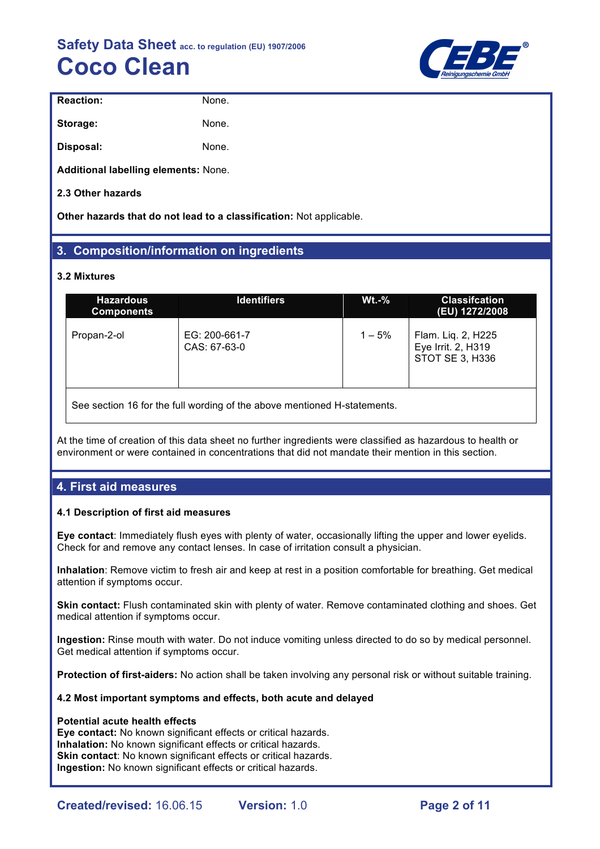

| <b>Reaction:</b>                     | None. |
|--------------------------------------|-------|
| Storage:                             | None. |
| Disposal:                            | None. |
| Additional labelling elements: None. |       |

**2.3 Other hazards**

**Other hazards that do not lead to a classification:** Not applicable.

# **3. Composition/information on ingredients**

## **3.2 Mixtures**

| <b>Hazardous</b><br><b>Components</b> | <b>Identifiers</b>            | $Wt.-%$  | <b>Classifcation</b><br>(EU) 1272/2008                      |
|---------------------------------------|-------------------------------|----------|-------------------------------------------------------------|
| Propan-2-ol                           | EG: 200-661-7<br>CAS: 67-63-0 | $1 - 5%$ | Flam. Liq. 2, H225<br>Eye Irrit. 2, H319<br>STOT SE 3, H336 |

See section 16 for the full wording of the above mentioned H-statements.

At the time of creation of this data sheet no further ingredients were classified as hazardous to health or environment or were contained in concentrations that did not mandate their mention in this section.

# **4. First aid measures**

## **4.1 Description of first aid measures**

**Eye contact**: Immediately flush eyes with plenty of water, occasionally lifting the upper and lower eyelids. Check for and remove any contact lenses. In case of irritation consult a physician.

**Inhalation**: Remove victim to fresh air and keep at rest in a position comfortable for breathing. Get medical attention if symptoms occur.

**Skin contact:** Flush contaminated skin with plenty of water. Remove contaminated clothing and shoes. Get medical attention if symptoms occur.

**Ingestion:** Rinse mouth with water. Do not induce vomiting unless directed to do so by medical personnel. Get medical attention if symptoms occur.

**Protection of first-aiders:** No action shall be taken involving any personal risk or without suitable training.

## **4.2 Most important symptoms and effects, both acute and delayed**

## **Potential acute health effects**

**Eye contact:** No known significant effects or critical hazards. **Inhalation:** No known significant effects or critical hazards. **Skin contact:** No known significant effects or critical hazards. **Ingestion:** No known significant effects or critical hazards.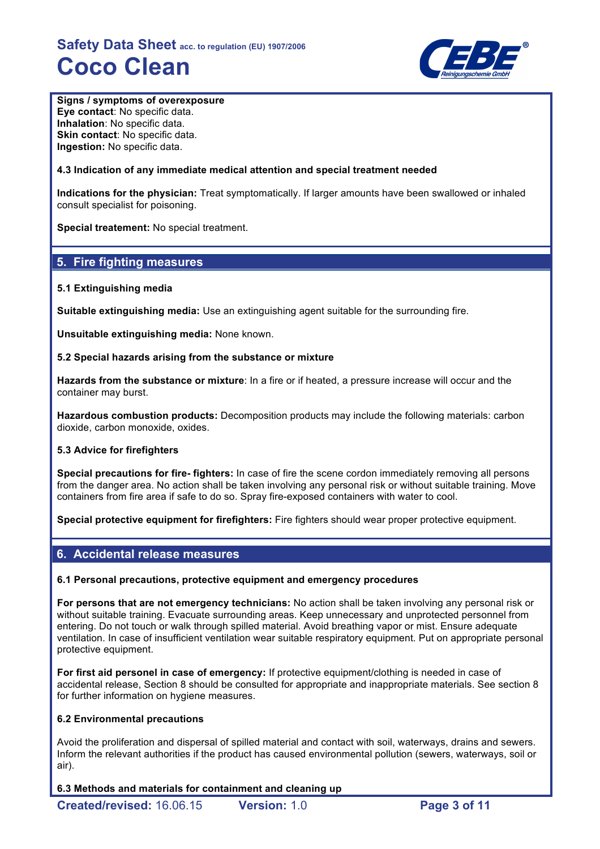

## **Signs / symptoms of overexposure**

**Eye contact**: No specific data. **Inhalation**: No specific data. **Skin contact: No specific data. Ingestion:** No specific data.

## **4.3 Indication of any immediate medical attention and special treatment needed**

**Indications for the physician:** Treat symptomatically. If larger amounts have been swallowed or inhaled consult specialist for poisoning.

**Special treatement:** No special treatment.

# **5. Fire fighting measures**

## **5.1 Extinguishing media**

**Suitable extinguishing media:** Use an extinguishing agent suitable for the surrounding fire.

**Unsuitable extinguishing media:** None known.

## **5.2 Special hazards arising from the substance or mixture**

**Hazards from the substance or mixture**: In a fire or if heated, a pressure increase will occur and the container may burst.

**Hazardous combustion products:** Decomposition products may include the following materials: carbon dioxide, carbon monoxide, oxides.

## **5.3 Advice for firefighters**

**Special precautions for fire- fighters:** In case of fire the scene cordon immediately removing all persons from the danger area. No action shall be taken involving any personal risk or without suitable training. Move containers from fire area if safe to do so. Spray fire-exposed containers with water to cool.

**Special protective equipment for firefighters:** Fire fighters should wear proper protective equipment.

# **6. Accidental release measures**

## **6.1 Personal precautions, protective equipment and emergency procedures**

**For persons that are not emergency technicians:** No action shall be taken involving any personal risk or without suitable training. Evacuate surrounding areas. Keep unnecessary and unprotected personnel from entering. Do not touch or walk through spilled material. Avoid breathing vapor or mist. Ensure adequate ventilation. In case of insufficient ventilation wear suitable respiratory equipment. Put on appropriate personal protective equipment.

**For first aid personel in case of emergency:** If protective equipment/clothing is needed in case of accidental release, Section 8 should be consulted for appropriate and inappropriate materials. See section 8 for further information on hygiene measures.

## **6.2 Environmental precautions**

Avoid the proliferation and dispersal of spilled material and contact with soil, waterways, drains and sewers. Inform the relevant authorities if the product has caused environmental pollution (sewers, waterways, soil or air).

## **6.3 Methods and materials for containment and cleaning up**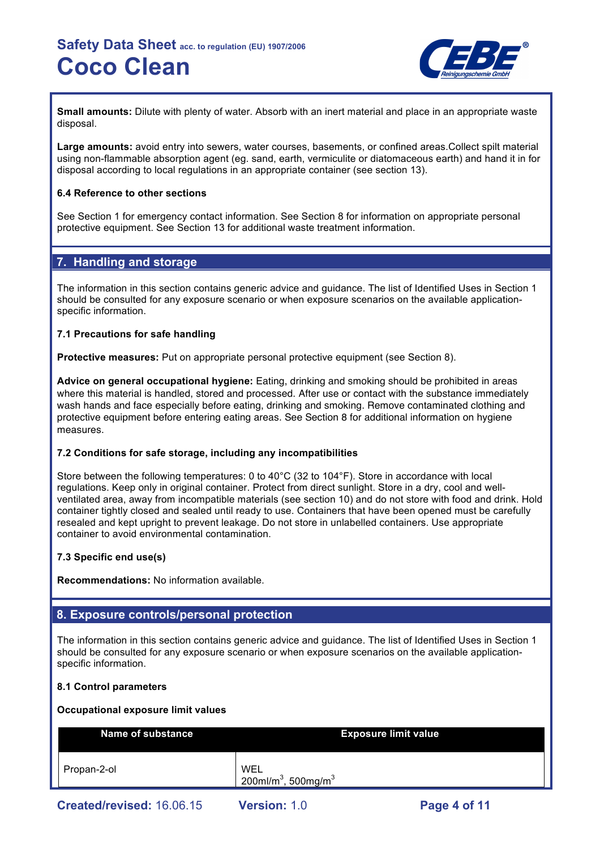

**Small amounts:** Dilute with plenty of water. Absorb with an inert material and place in an appropriate waste disposal.

**Large amounts:** avoid entry into sewers, water courses, basements, or confined areas.Collect spilt material using non-flammable absorption agent (eg. sand, earth, vermiculite or diatomaceous earth) and hand it in for disposal according to local regulations in an appropriate container (see section 13).

## **6.4 Reference to other sections**

See Section 1 for emergency contact information. See Section 8 for information on appropriate personal protective equipment. See Section 13 for additional waste treatment information.

# **7. Handling and storage**

The information in this section contains generic advice and guidance. The list of Identified Uses in Section 1 should be consulted for any exposure scenario or when exposure scenarios on the available applicationspecific information.

## **7.1 Precautions for safe handling**

**Protective measures:** Put on appropriate personal protective equipment (see Section 8).

**Advice on general occupational hygiene:** Eating, drinking and smoking should be prohibited in areas where this material is handled, stored and processed. After use or contact with the substance immediately wash hands and face especially before eating, drinking and smoking. Remove contaminated clothing and protective equipment before entering eating areas. See Section 8 for additional information on hygiene measures.

## **7.2 Conditions for safe storage, including any incompatibilities**

Store between the following temperatures: 0 to 40°C (32 to 104°F). Store in accordance with local regulations. Keep only in original container. Protect from direct sunlight. Store in a dry, cool and wellventilated area, away from incompatible materials (see section 10) and do not store with food and drink. Hold container tightly closed and sealed until ready to use. Containers that have been opened must be carefully resealed and kept upright to prevent leakage. Do not store in unlabelled containers. Use appropriate container to avoid environmental contamination.

## **7.3 Specific end use(s)**

**Recommendations:** No information available.

# **8. Exposure controls/personal protection**

The information in this section contains generic advice and guidance. The list of Identified Uses in Section 1 should be consulted for any exposure scenario or when exposure scenarios on the available applicationspecific information.

## **8.1 Control parameters**

#### **Occupational exposure limit values**

| <b>Name of substance</b> | <b>Exposure limit value</b>                        |
|--------------------------|----------------------------------------------------|
| Propan-2-ol              | WEL<br>200ml/m <sup>3</sup> , 500mg/m <sup>3</sup> |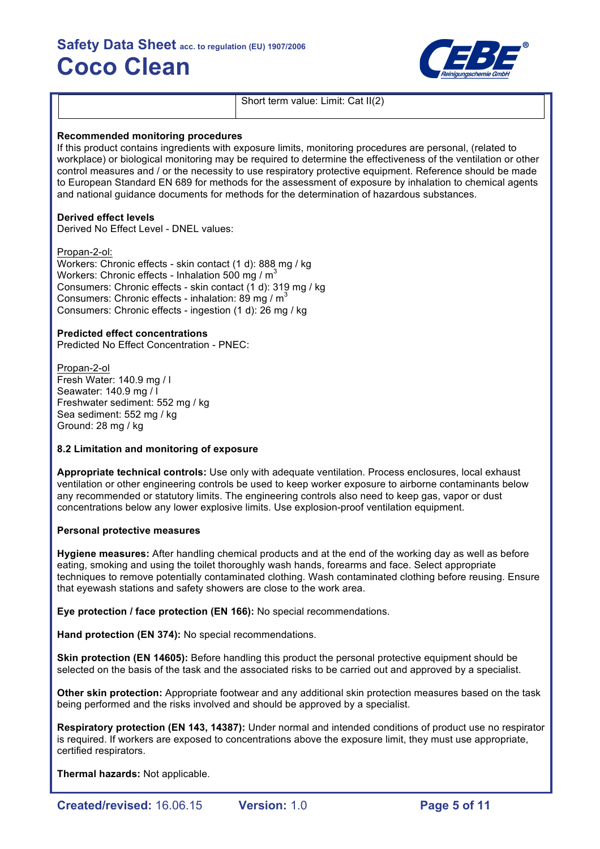

Short term value: Limit: Cat II(2)

#### **Recommended monitoring procedures**

If this product contains ingredients with exposure limits, monitoring procedures are personal, (related to workplace) or biological monitoring may be required to determine the effectiveness of the ventilation or other control measures and / or the necessity to use respiratory protective equipment. Reference should be made to European Standard EN 689 for methods for the assessment of exposure by inhalation to chemical agents and national guidance documents for methods for the determination of hazardous substances.

## **Derived effect levels**

Derived No Effect Level - DNEL values:

Propan-2-ol:

Workers: Chronic effects - skin contact (1 d): 888 mg / kg Workers: Chronic effects - Inhalation 500 mg /  $m<sup>3</sup>$ Consumers: Chronic effects - skin contact (1 d): 319 mg / kg Consumers: Chronic effects - inhalation: 89 mg /  $m<sup>3</sup>$ Consumers: Chronic effects - ingestion (1 d): 26 mg / kg

## **Predicted effect concentrations**

Predicted No Effect Concentration - PNEC:

Propan-2-ol Fresh Water: 140.9 mg / l Seawater: 140.9 mg / l Freshwater sediment: 552 mg / kg Sea sediment: 552 mg / kg Ground: 28 mg / kg

#### **8.2 Limitation and monitoring of exposure**

**Appropriate technical controls:** Use only with adequate ventilation. Process enclosures, local exhaust ventilation or other engineering controls be used to keep worker exposure to airborne contaminants below any recommended or statutory limits. The engineering controls also need to keep gas, vapor or dust concentrations below any lower explosive limits. Use explosion-proof ventilation equipment.

#### **Personal protective measures**

**Hygiene measures:** After handling chemical products and at the end of the working day as well as before eating, smoking and using the toilet thoroughly wash hands, forearms and face. Select appropriate techniques to remove potentially contaminated clothing. Wash contaminated clothing before reusing. Ensure that eyewash stations and safety showers are close to the work area.

**Eye protection / face protection (EN 166):** No special recommendations.

**Hand protection (EN 374):** No special recommendations.

**Skin protection (EN 14605):** Before handling this product the personal protective equipment should be selected on the basis of the task and the associated risks to be carried out and approved by a specialist.

**Other skin protection:** Appropriate footwear and any additional skin protection measures based on the task being performed and the risks involved and should be approved by a specialist.

**Respiratory protection (EN 143, 14387):** Under normal and intended conditions of product use no respirator is required. If workers are exposed to concentrations above the exposure limit, they must use appropriate, certified respirators.

**Thermal hazards:** Not applicable.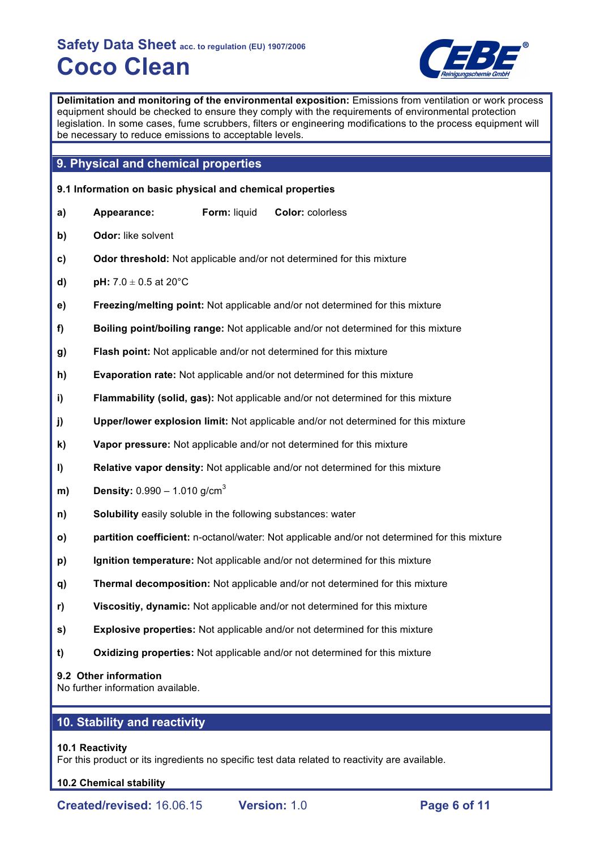

**Delimitation and monitoring of the environmental exposition:** Emissions from ventilation or work process equipment should be checked to ensure they comply with the requirements of environmental protection legislation. In some cases, fume scrubbers, filters or engineering modifications to the process equipment will be necessary to reduce emissions to acceptable levels.

# **9. Physical and chemical properties**

| 9.1 Information on basic physical and chemical properties |                                                              |              |                                                                                               |  |  |
|-----------------------------------------------------------|--------------------------------------------------------------|--------------|-----------------------------------------------------------------------------------------------|--|--|
| a)                                                        | Appearance:                                                  | Form: liquid | Color: colorless                                                                              |  |  |
| b)                                                        | Odor: like solvent                                           |              |                                                                                               |  |  |
| C)                                                        |                                                              |              | Odor threshold: Not applicable and/or not determined for this mixture                         |  |  |
| d)                                                        | pH: $7.0 \pm 0.5$ at 20 $^{\circ}$ C                         |              |                                                                                               |  |  |
| e)                                                        |                                                              |              | Freezing/melting point: Not applicable and/or not determined for this mixture                 |  |  |
| f)                                                        |                                                              |              | Boiling point/boiling range: Not applicable and/or not determined for this mixture            |  |  |
| g)                                                        |                                                              |              | Flash point: Not applicable and/or not determined for this mixture                            |  |  |
| h)                                                        |                                                              |              | Evaporation rate: Not applicable and/or not determined for this mixture                       |  |  |
| i)                                                        |                                                              |              | Flammability (solid, gas): Not applicable and/or not determined for this mixture              |  |  |
| j)                                                        |                                                              |              | Upper/lower explosion limit: Not applicable and/or not determined for this mixture            |  |  |
| k)                                                        |                                                              |              | Vapor pressure: Not applicable and/or not determined for this mixture                         |  |  |
| $\mathbf{I}$                                              |                                                              |              | Relative vapor density: Not applicable and/or not determined for this mixture                 |  |  |
| m)                                                        | <b>Density:</b> $0.990 - 1.010$ g/cm <sup>3</sup>            |              |                                                                                               |  |  |
| n)                                                        | Solubility easily soluble in the following substances: water |              |                                                                                               |  |  |
| O)                                                        |                                                              |              | partition coefficient: n-octanol/water: Not applicable and/or not determined for this mixture |  |  |
| p)                                                        |                                                              |              | Ignition temperature: Not applicable and/or not determined for this mixture                   |  |  |
| q)                                                        |                                                              |              | Thermal decomposition: Not applicable and/or not determined for this mixture                  |  |  |
| r)                                                        |                                                              |              | Viscositiy, dynamic: Not applicable and/or not determined for this mixture                    |  |  |
| s)                                                        |                                                              |              | <b>Explosive properties:</b> Not applicable and/or not determined for this mixture            |  |  |
| t)                                                        |                                                              |              | Oxidizing properties: Not applicable and/or not determined for this mixture                   |  |  |
|                                                           | 9.2 Other information<br>No further information available.   |              |                                                                                               |  |  |

# **10. Stability and reactivity**

## **10.1 Reactivity**

For this product or its ingredients no specific test data related to reactivity are available.

## **10.2 Chemical stability**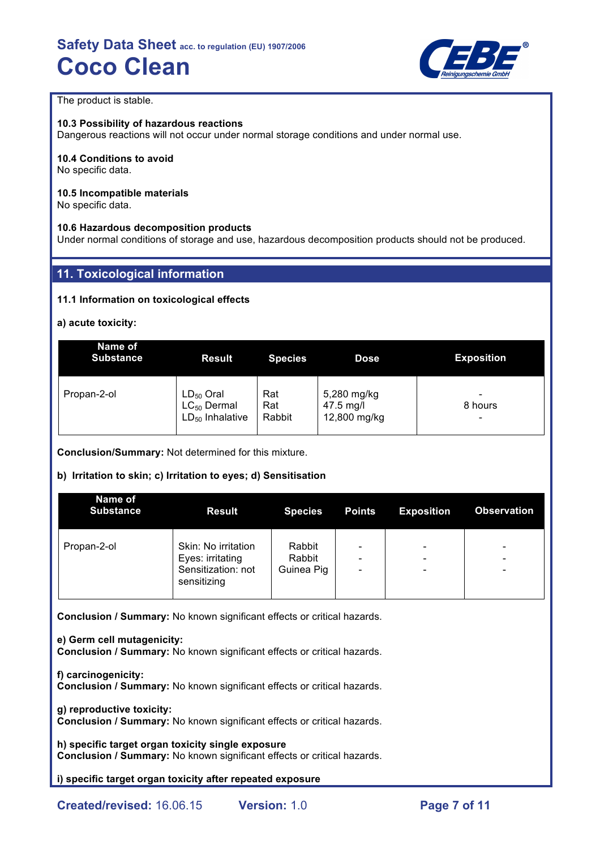

The product is stable.

## **10.3 Possibility of hazardous reactions**

Dangerous reactions will not occur under normal storage conditions and under normal use.

## **10.4 Conditions to avoid**

No specific data.

## **10.5 Incompatible materials**

No specific data.

## **10.6 Hazardous decomposition products**

Under normal conditions of storage and use, hazardous decomposition products should not be produced.

# **11. Toxicological information**

## **11.1 Information on toxicological effects**

## **a) acute toxicity:**

| Name of<br><b>Substance</b> | <b>Result</b>        | <b>Species</b> | <b>Dose</b>  | <b>Exposition</b> |
|-----------------------------|----------------------|----------------|--------------|-------------------|
| Propan-2-ol                 | $LD_{50}$ Oral       | Rat            | 5,280 mg/kg  | -                 |
|                             | $LC_{50}$ Dermal     | Rat            | 47.5 mg/l    | 8 hours           |
|                             | $LD_{50}$ Inhalative | Rabbit         | 12,800 mg/kg | -                 |

**Conclusion/Summary:** Not determined for this mixture.

## **b) Irritation to skin; c) Irritation to eyes; d) Sensitisation**

| Name of<br><b>Substance</b> | <b>Result</b>                                                                | <b>Species</b>                 | <b>Points</b>                      | <b>Exposition</b>                                                                    | <b>Observation</b> |
|-----------------------------|------------------------------------------------------------------------------|--------------------------------|------------------------------------|--------------------------------------------------------------------------------------|--------------------|
| Propan-2-ol                 | Skin: No irritation<br>Eyes: irritating<br>Sensitization: not<br>sensitizing | Rabbit<br>Rabbit<br>Guinea Pig | -<br>-<br>$\overline{\phantom{0}}$ | $\qquad \qquad \blacksquare$<br>$\overline{\phantom{0}}$<br>$\overline{\phantom{a}}$ | -<br>-<br>-        |

**Conclusion / Summary:** No known significant effects or critical hazards.

#### **e) Germ cell mutagenicity:**

**Conclusion / Summary:** No known significant effects or critical hazards.

**f) carcinogenicity: Conclusion / Summary:** No known significant effects or critical hazards.

## **g) reproductive toxicity:**

**Conclusion / Summary:** No known significant effects or critical hazards.

**h) specific target organ toxicity single exposure Conclusion / Summary:** No known significant effects or critical hazards.

**i) specific target organ toxicity after repeated exposure**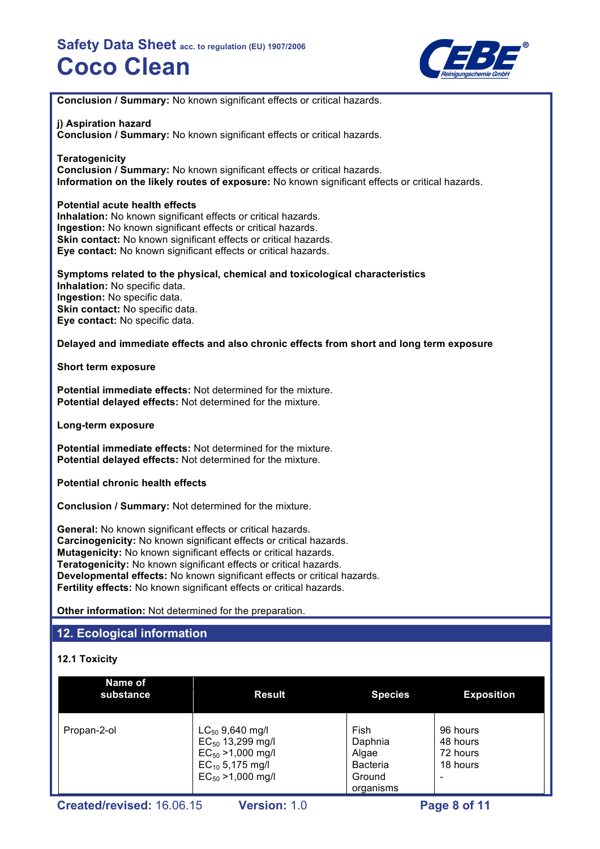

**Conclusion / Summary:** No known significant effects or critical hazards.

## **j) Aspiration hazard**

**Conclusion / Summary:** No known significant effects or critical hazards.

## **Teratogenicity**

**Conclusion / Summary:** No known significant effects or critical hazards. **Information on the likely routes of exposure:** No known significant effects or critical hazards.

## **Potential acute health effects**

**Inhalation:** No known significant effects or critical hazards. **Ingestion:** No known significant effects or critical hazards. **Skin contact:** No known significant effects or critical hazards. **Eye contact:** No known significant effects or critical hazards.

**Symptoms related to the physical, chemical and toxicological characteristics Inhalation:** No specific data. **Ingestion:** No specific data. **Skin contact:** No specific data. **Eye contact:** No specific data.

## **Delayed and immediate effects and also chronic effects from short and long term exposure**

**Short term exposure**

**Potential immediate effects:** Not determined for the mixture. **Potential delayed effects:** Not determined for the mixture.

**Long-term exposure**

**Potential immediate effects:** Not determined for the mixture. **Potential delayed effects:** Not determined for the mixture.

**Potential chronic health effects**

**Conclusion / Summary:** Not determined for the mixture.

**General:** No known significant effects or critical hazards. **Carcinogenicity:** No known significant effects or critical hazards. **Mutagenicity:** No known significant effects or critical hazards. **Teratogenicity:** No known significant effects or critical hazards. **Developmental effects:** No known significant effects or critical hazards. **Fertility effects:** No known significant effects or critical hazards.

**Other information:** Not determined for the preparation.

# **12. Ecological information**

## **12.1 Toxicity**

| Name of<br>substance | <b>Result</b>                                                                                                             | <b>Species</b>                                                     | <b>Exposition</b>                            |
|----------------------|---------------------------------------------------------------------------------------------------------------------------|--------------------------------------------------------------------|----------------------------------------------|
| Propan-2-ol          | $LC_{50}$ 9,640 mg/l<br>$EC_{50}$ 13,299 mg/l<br>$EC_{50} > 1,000$ mg/l<br>$EC_{10}$ 5,175 mg/l<br>$EC_{50} > 1,000$ mg/l | Fish<br>Daphnia<br>Algae<br><b>Bacteria</b><br>Ground<br>organisms | 96 hours<br>48 hours<br>72 hours<br>18 hours |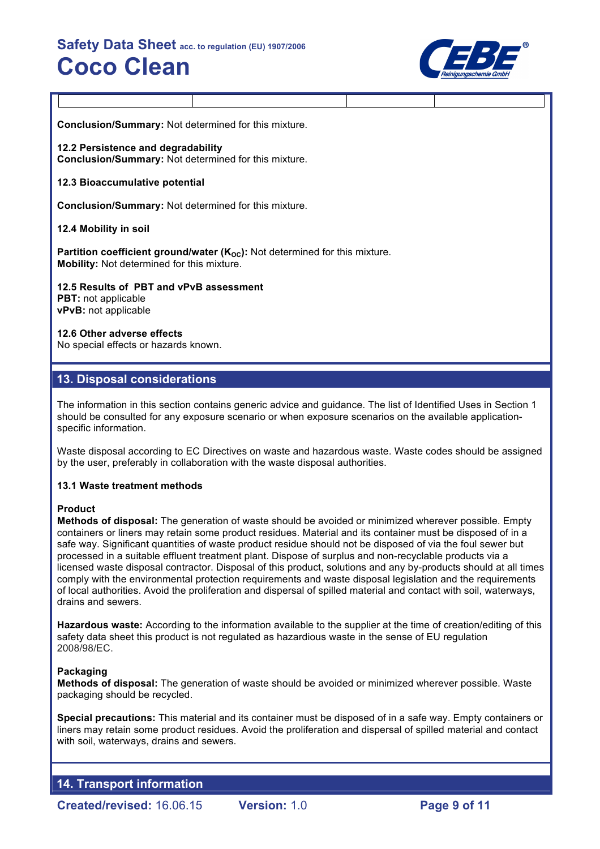

**Conclusion/Summary:** Not determined for this mixture.

**12.2 Persistence and degradability Conclusion/Summary:** Not determined for this mixture.

## **12.3 Bioaccumulative potential**

**Conclusion/Summary:** Not determined for this mixture.

## **12.4 Mobility in soil**

**Partition coefficient ground/water (K<sub>OC</sub>):** Not determined for this mixture. **Mobility:** Not determined for this mixture.

**12.5 Results of PBT and vPvB assessment PBT:** not applicable **vPvB:** not applicable

#### **12.6 Other adverse effects**

No special effects or hazards known.

## **13. Disposal considerations**

The information in this section contains generic advice and guidance. The list of Identified Uses in Section 1 should be consulted for any exposure scenario or when exposure scenarios on the available applicationspecific information.

Waste disposal according to EC Directives on waste and hazardous waste. Waste codes should be assigned by the user, preferably in collaboration with the waste disposal authorities.

## **13.1 Waste treatment methods**

#### **Product**

**Methods of disposal:** The generation of waste should be avoided or minimized wherever possible. Empty containers or liners may retain some product residues. Material and its container must be disposed of in a safe way. Significant quantities of waste product residue should not be disposed of via the foul sewer but processed in a suitable effluent treatment plant. Dispose of surplus and non-recyclable products via a licensed waste disposal contractor. Disposal of this product, solutions and any by-products should at all times comply with the environmental protection requirements and waste disposal legislation and the requirements of local authorities. Avoid the proliferation and dispersal of spilled material and contact with soil, waterways, drains and sewers.

**Hazardous waste:** According to the information available to the supplier at the time of creation/editing of this safety data sheet this product is not regulated as hazardious waste in the sense of EU regulation 2008/98/EC.

## **Packaging**

**Methods of disposal:** The generation of waste should be avoided or minimized wherever possible. Waste packaging should be recycled.

**Special precautions:** This material and its container must be disposed of in a safe way. Empty containers or liners may retain some product residues. Avoid the proliferation and dispersal of spilled material and contact with soil, waterways, drains and sewers.

**14. Transport information**

**Created/revised:** 16.06.15 **Version:** 1.0 **Page 9 of 11**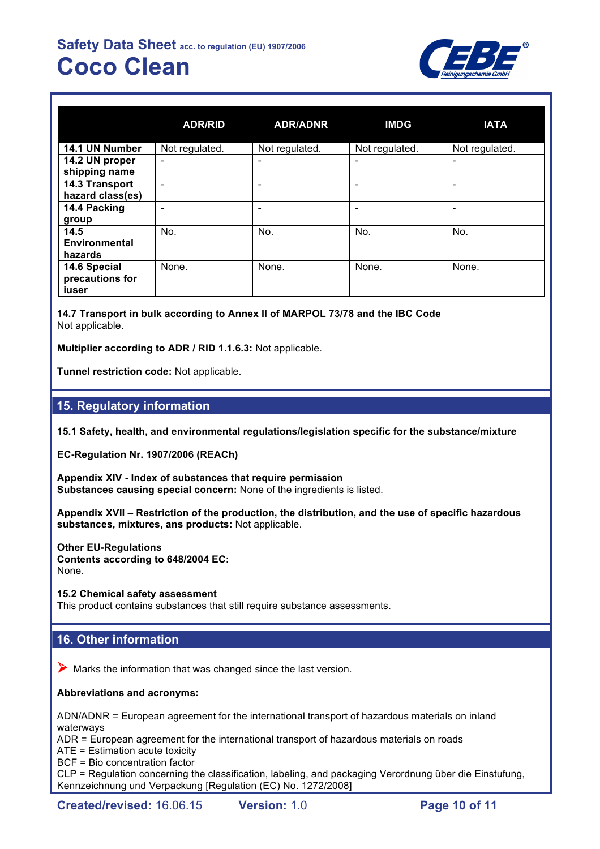

|                                          | <b>ADR/RID</b>           | <b>ADR/ADNR</b> | <b>IMDG</b>    | <b>IATA</b>                  |
|------------------------------------------|--------------------------|-----------------|----------------|------------------------------|
| 14.1 UN Number                           | Not regulated.           | Not regulated.  | Not regulated. | Not regulated.               |
| 14.2 UN proper<br>shipping name          | $\overline{\phantom{a}}$ | ٠               |                | ۰                            |
| 14.3 Transport<br>hazard class(es)       | ۰                        | -               |                | $\qquad \qquad \blacksquare$ |
| 14.4 Packing<br>group                    | ۰                        | -               |                | -                            |
| 14.5<br><b>Environmental</b><br>hazards  | No.                      | No.             | No.            | No.                          |
| 14.6 Special<br>precautions for<br>iuser | None.                    | None.           | None.          | None.                        |

**14.7 Transport in bulk according to Annex II of MARPOL 73/78 and the IBC Code** Not applicable.

**Multiplier according to ADR / RID 1.1.6.3:** Not applicable.

**Tunnel restriction code:** Not applicable.

# **15. Regulatory information**

**15.1 Safety, health, and environmental regulations/legislation specific for the substance/mixture**

**EC-Regulation Nr. 1907/2006 (REACh)**

**Appendix XIV - Index of substances that require permission Substances causing special concern:** None of the ingredients is listed.

**Appendix XVII – Restriction of the production, the distribution, and the use of specific hazardous substances, mixtures, ans products:** Not applicable.

**Other EU-Regulations Contents according to 648/2004 EC:** None.

**15.2 Chemical safety assessment** This product contains substances that still require substance assessments.

# **16. Other information**

 $\triangleright$  Marks the information that was changed since the last version.

**Abbreviations and acronyms:**

ADN/ADNR = European agreement for the international transport of hazardous materials on inland waterways

ADR = European agreement for the international transport of hazardous materials on roads

ATE = Estimation acute toxicity

BCF = Bio concentration factor

CLP = Regulation concerning the classification, labeling, and packaging Verordnung über die Einstufung, Kennzeichnung und Verpackung [Regulation (EC) No. 1272/2008]